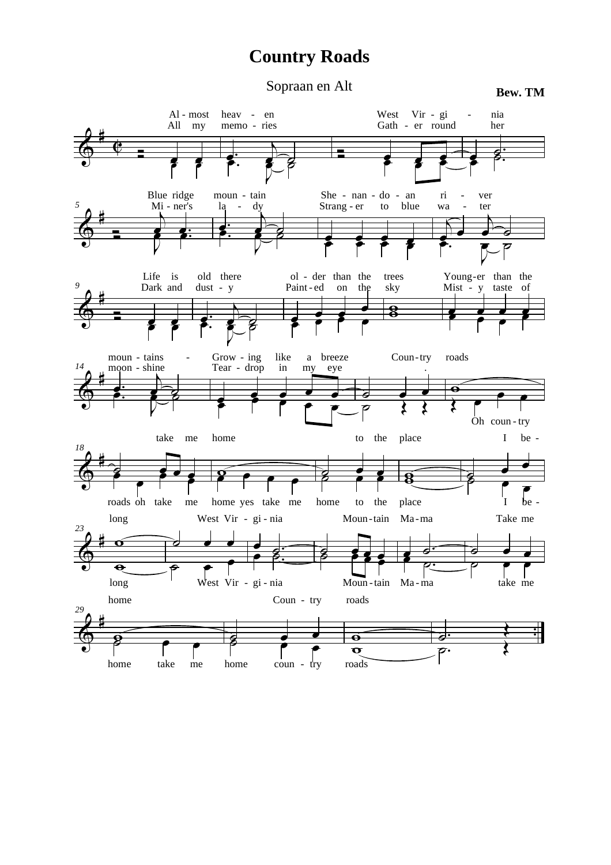## **Country Roads**

Sopraan en Alt **Bew. TM**